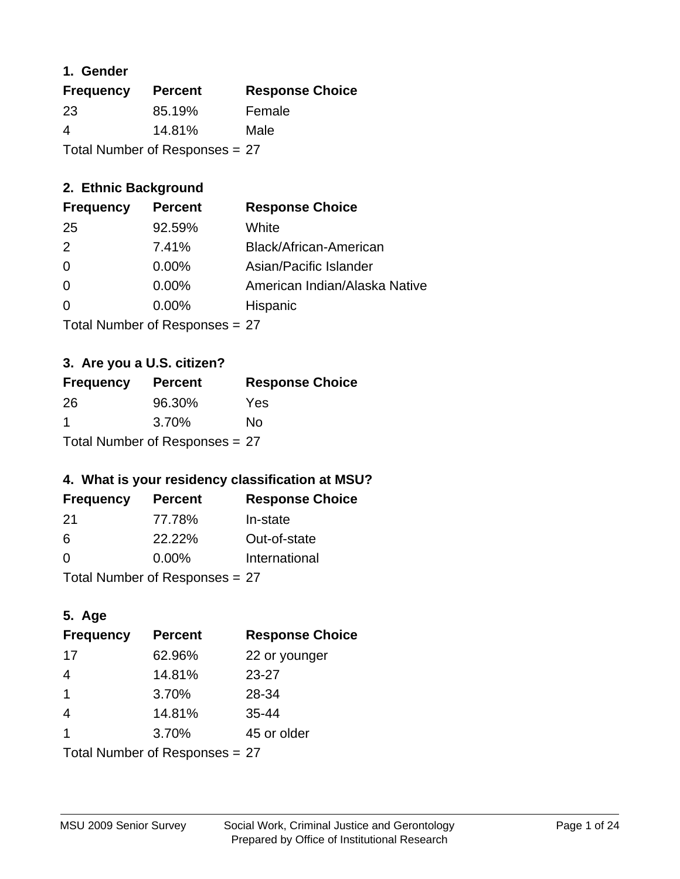## **1. Gender**

| <b>Frequency</b>               | <b>Percent</b> | <b>Response Choice</b> |
|--------------------------------|----------------|------------------------|
| 23                             | 85.19%         | Female                 |
| 4                              | 14.81%         | Male                   |
| Total Number of Responses = 27 |                |                        |

## **2. Ethnic Background**

| <b>Frequency</b> | <b>Percent</b> | <b>Response Choice</b>        |
|------------------|----------------|-------------------------------|
| 25               | 92.59%         | White                         |
| 2                | 7.41%          | Black/African-American        |
| $\Omega$         | $0.00\%$       | Asian/Pacific Islander        |
| $\Omega$         | 0.00%          | American Indian/Alaska Native |
|                  | $0.00\%$       | Hispanic                      |
|                  |                |                               |

Total Number of Responses = 27

## **3. Are you a U.S. citizen?**

| <b>Frequency</b> | <b>Percent</b>                   | <b>Response Choice</b> |
|------------------|----------------------------------|------------------------|
| -26              | 96.30%                           | Yes                    |
| -1               | 3.70%                            | Nο                     |
|                  | Total Number of Responses $= 27$ |                        |

## **4. What is your residency classification at MSU?**

| <b>Frequency</b> | <b>Percent</b> | <b>Response Choice</b> |
|------------------|----------------|------------------------|
| -21              | 77.78%         | In-state               |
| -6               | 22.22%         | Out-of-state           |
| $\Omega$         | $0.00\%$       | International          |
|                  |                |                        |

Total Number of Responses = 27

## **5. Age**

| <b>Frequency</b>               | <b>Percent</b> | <b>Response Choice</b> |
|--------------------------------|----------------|------------------------|
| 17                             | 62.96%         | 22 or younger          |
| $\overline{4}$                 | 14.81%         | 23-27                  |
| $\overline{\mathbf{1}}$        | 3.70%          | 28-34                  |
| $\overline{4}$                 | 14.81%         | $35 - 44$              |
| 1                              | 3.70%          | 45 or older            |
| Total Number of Responses = 27 |                |                        |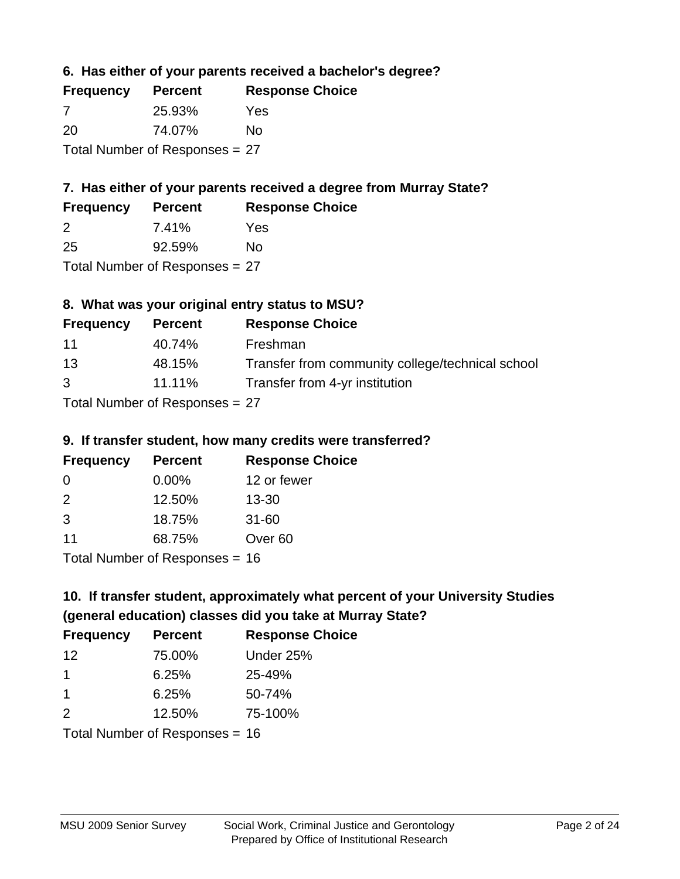**6. Has either of your parents received a bachelor's degree?**

| <b>Frequency</b>               | <b>Percent</b> | <b>Response Choice</b> |
|--------------------------------|----------------|------------------------|
| 7                              | 25.93%         | Yes                    |
| -20                            | 74.07%         | No                     |
| Total Number of Responses = 27 |                |                        |

## **7. Has either of your parents received a degree from Murray State?**

| <b>Frequency</b> | <b>Percent</b> | <b>Response Choice</b> |
|------------------|----------------|------------------------|
| -2               | 7.41%          | Yes                    |
| 25               | 92.59%         | No                     |

Total Number of Responses = 27

## **8. What was your original entry status to MSU?**

| <b>Frequency</b>                 | <b>Percent</b> | <b>Response Choice</b>                           |
|----------------------------------|----------------|--------------------------------------------------|
| 11                               | 40.74%         | Freshman                                         |
| 13                               | 48.15%         | Transfer from community college/technical school |
| $\mathcal{B}$                    | 11.11%         | Transfer from 4-yr institution                   |
| Total Number of Responses $= 27$ |                |                                                  |

# **9. If transfer student, how many credits were transferred?**

| <u>ul II wandidi utawani nu mang-aluang mula k</u> |                |                        |
|----------------------------------------------------|----------------|------------------------|
| <b>Frequency</b>                                   | <b>Percent</b> | <b>Response Choice</b> |
| -0                                                 | $0.00\%$       | 12 or fewer            |
| $\mathcal{P}$                                      | 12.50%         | $13 - 30$              |
| 3                                                  | 18.75%         | $31 - 60$              |
| 11                                                 | 68.75%         | Over <sub>60</sub>     |

Total Number of Responses = 16

## **10. If transfer student, approximately what percent of your University Studies (general education) classes did you take at Murray State?**

| <b>Frequency</b>                 | <b>Percent</b> | <b>Response Choice</b> |
|----------------------------------|----------------|------------------------|
| 12                               | 75.00%         | Under 25%              |
| 1                                | 6.25%          | 25-49%                 |
| $\overline{1}$                   | 6.25%          | 50-74%                 |
| $\mathcal{P}$                    | 12.50%         | 75-100%                |
| Total Number of Responses $= 16$ |                |                        |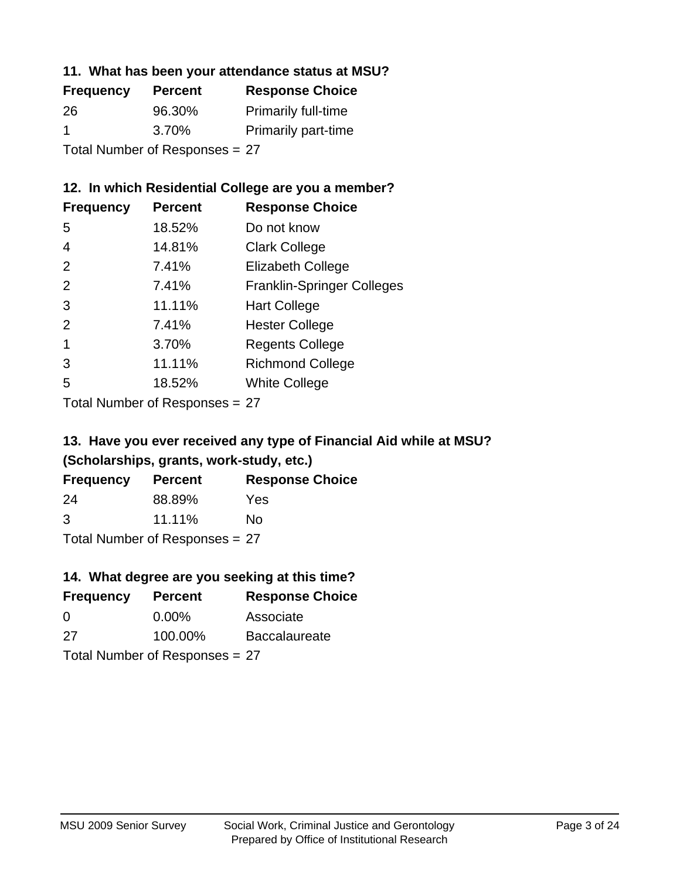## **11. What has been your attendance status at MSU?**

| <b>Frequency</b>               | <b>Percent</b> | <b>Response Choice</b>     |
|--------------------------------|----------------|----------------------------|
| 26                             | 96.30%         | <b>Primarily full-time</b> |
| -1                             | 3.70%          | <b>Primarily part-time</b> |
| Total Number of Responses = 27 |                |                            |

## **12. In which Residential College are you a member?**

| <b>Frequency</b> | <b>Percent</b> | <b>Response Choice</b>            |
|------------------|----------------|-----------------------------------|
| 5                | 18.52%         | Do not know                       |
| 4                | 14.81%         | <b>Clark College</b>              |
| 2                | 7.41%          | <b>Elizabeth College</b>          |
| 2                | 7.41%          | <b>Franklin-Springer Colleges</b> |
| 3                | 11.11%         | <b>Hart College</b>               |
| 2                | 7.41%          | <b>Hester College</b>             |
|                  | 3.70%          | <b>Regents College</b>            |
| 3                | 11.11%         | <b>Richmond College</b>           |
| 5                | 18.52%         | <b>White College</b>              |
|                  |                |                                   |

Total Number of Responses = 27

## **13. Have you ever received any type of Financial Aid while at MSU? (Scholarships, grants, work-study, etc.)**

| <b>Frequency</b> | Percent | <b>Response Choice</b> |
|------------------|---------|------------------------|
| 24               | 88.89%  | Yes                    |
| 3                | 11.11%  | No                     |
| _                |         |                        |

Total Number of Responses = 27

## **14. What degree are you seeking at this time?**

| <b>Frequency</b> | <b>Percent</b>                 | <b>Response Choice</b> |
|------------------|--------------------------------|------------------------|
| 0                | $0.00\%$                       | Associate              |
| 27               | 100.00%                        | <b>Baccalaureate</b>   |
|                  | Total Number of Responses = 27 |                        |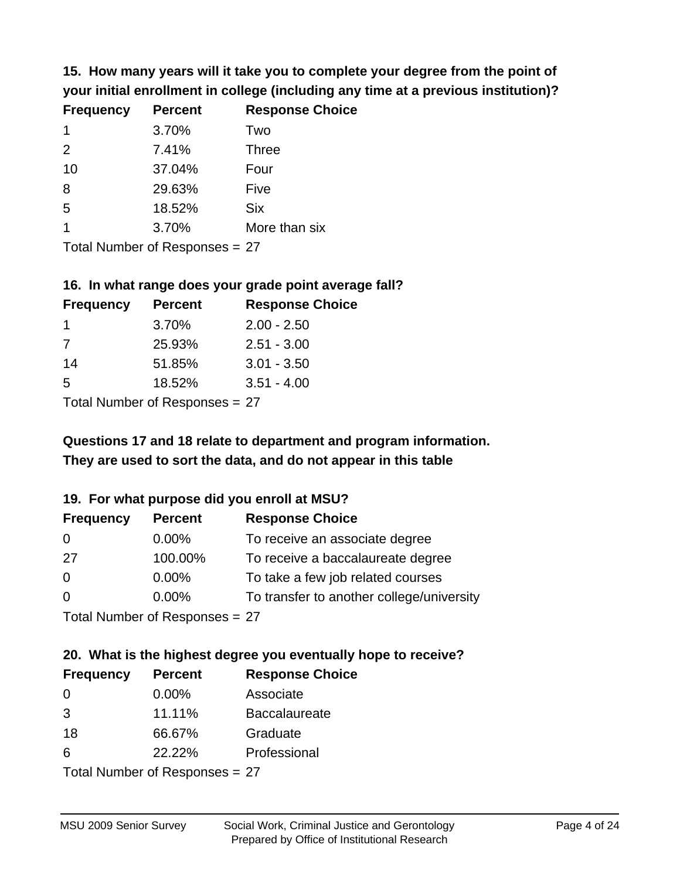**15. How many years will it take you to complete your degree from the point of your initial enrollment in college (including any time at a previous institution)?**

| <b>Frequency</b> | <b>Percent</b> | <b>Response Choice</b> |
|------------------|----------------|------------------------|
| $\mathbf 1$      | 3.70%          | Two                    |
| 2                | 7.41%          | <b>Three</b>           |
| 10               | 37.04%         | Four                   |
| 8                | 29.63%         | Five                   |
| 5                | 18.52%         | <b>Six</b>             |
|                  | 3.70%          | More than six          |
|                  |                |                        |

Total Number of Responses = 27

#### **16. In what range does your grade point average fall?**

| <b>Frequency</b> | <b>Percent</b> | <b>Response Choice</b> |
|------------------|----------------|------------------------|
| $\mathbf 1$      | 3.70%          | $2.00 - 2.50$          |
| 7                | 25.93%         | $2.51 - 3.00$          |
| 14               | 51.85%         | $3.01 - 3.50$          |
| 5                | 18.52%         | $3.51 - 4.00$          |
| -                |                |                        |

Total Number of Responses = 27

## **They are used to sort the data, and do not appear in this table Questions 17 and 18 relate to department and program information.**

#### **19. For what purpose did you enroll at MSU?**

| <b>Frequency</b>               | <b>Percent</b> | <b>Response Choice</b>                    |
|--------------------------------|----------------|-------------------------------------------|
| 0                              | $0.00\%$       | To receive an associate degree            |
| 27                             | 100.00%        | To receive a baccalaureate degree         |
| $\overline{0}$                 | $0.00\%$       | To take a few job related courses         |
| $\Omega$                       | $0.00\%$       | To transfer to another college/university |
| Total Number of Responses = 27 |                |                                           |

## **20. What is the highest degree you eventually hope to receive?**

| <b>Frequency</b> | <b>Percent</b>                 | <b>Response Choice</b> |
|------------------|--------------------------------|------------------------|
| 0                | $0.00\%$                       | Associate              |
| 3                | 11.11%                         | <b>Baccalaureate</b>   |
| 18               | 66.67%                         | Graduate               |
| 6                | 22.22%                         | Professional           |
|                  | Total Number of Poenances - 27 |                        |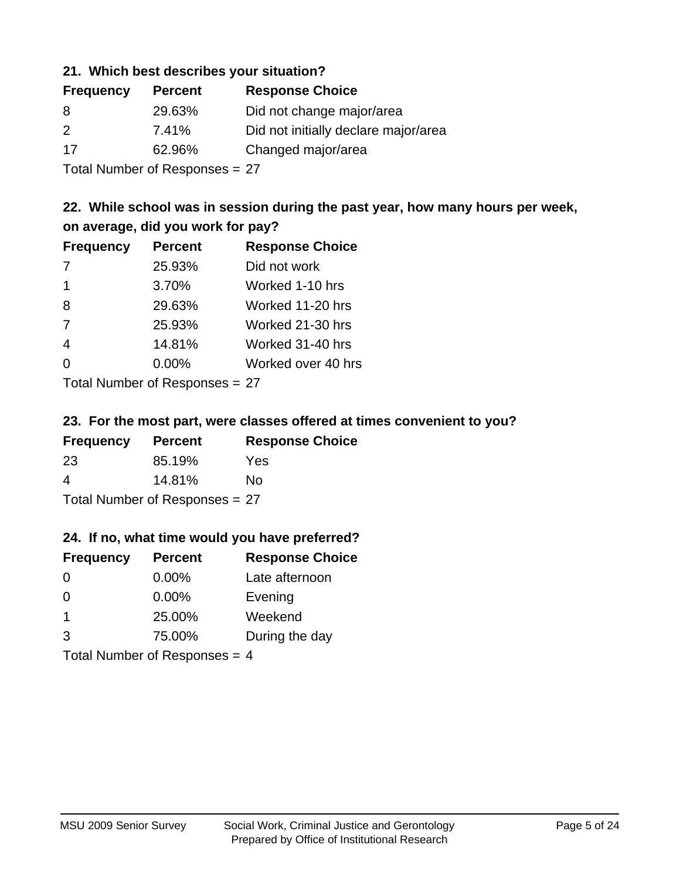#### **21. Which best describes your situation?**

| <b>Frequency</b> | <b>Percent</b> | <b>Response Choice</b>               |
|------------------|----------------|--------------------------------------|
| 8                | 29.63%         | Did not change major/area            |
| 2                | 7.41%          | Did not initially declare major/area |
| 17               | 62.96%         | Changed major/area                   |
|                  |                |                                      |

Total Number of Responses = 27

## **22. While school was in session during the past year, how many hours per week, on average, did you work for pay?**

| <b>Frequency</b> | <b>Percent</b> | <b>Response Choice</b> |
|------------------|----------------|------------------------|
| 7                | 25.93%         | Did not work           |
| $\mathbf 1$      | 3.70%          | Worked 1-10 hrs        |
| 8                | 29.63%         | Worked 11-20 hrs       |
| 7                | 25.93%         | Worked 21-30 hrs       |
| $\overline{4}$   | 14.81%         | Worked 31-40 hrs       |
| $\Omega$         | 0.00%          | Worked over 40 hrs     |
|                  |                |                        |

Total Number of Responses = 27

#### **23. For the most part, were classes offered at times convenient to you?**

| <b>Frequency</b>               | <b>Percent</b> | <b>Response Choice</b> |  |
|--------------------------------|----------------|------------------------|--|
| 23                             | 85.19%         | Yes                    |  |
| 4                              | 14.81%         | No.                    |  |
| Total Number of Responses = 27 |                |                        |  |

#### **24. If no, what time would you have preferred?**

| <b>Frequency</b>                | <b>Percent</b> | <b>Response Choice</b> |
|---------------------------------|----------------|------------------------|
| $\Omega$                        | $0.00\%$       | Late afternoon         |
| $\Omega$                        | $0.00\%$       | Evening                |
| $\overline{1}$                  | 25.00%         | Weekend                |
| 3                               | 75.00%         | During the day         |
| Total Number of Responses = $4$ |                |                        |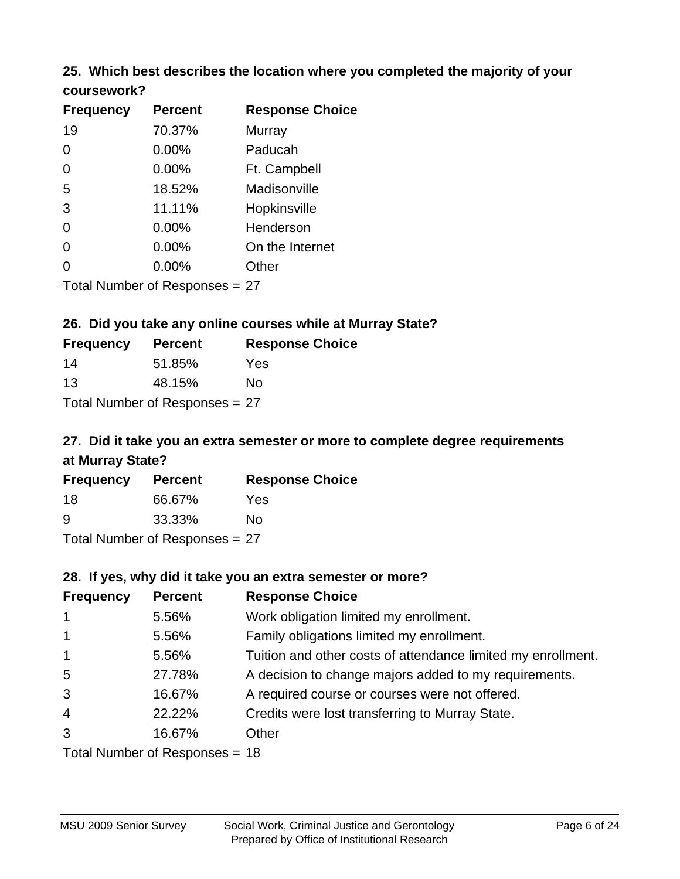## **25. Which best describes the location where you completed the majority of your**

| coursework? |  |
|-------------|--|
|-------------|--|

| <b>Frequency</b> | <b>Percent</b>                 | <b>Response Choice</b> |
|------------------|--------------------------------|------------------------|
| 19               | 70.37%                         | Murray                 |
| 0                | 0.00%                          | Paducah                |
| 0                | 0.00%                          | Ft. Campbell           |
| 5                | 18.52%                         | Madisonville           |
| 3                | 11.11%                         | Hopkinsville           |
| 0                | $0.00\%$                       | Henderson              |
| 0                | 0.00%                          | On the Internet        |
| 0                | 0.00%                          | Other                  |
|                  | Total Number of Responses = 27 |                        |

#### **26. Did you take any online courses while at Murray State?**

| <b>Frequency</b> | <b>Percent</b>                 | <b>Response Choice</b> |
|------------------|--------------------------------|------------------------|
| 14               | 51.85%                         | Yes                    |
| 13               | 48.15%                         | Nο                     |
|                  | Total Number of Responses = 27 |                        |

## **27. Did it take you an extra semester or more to complete degree requirements at Murray State?**

| <b>Frequency</b> | <b>Percent</b>             | <b>Response Choice</b> |
|------------------|----------------------------|------------------------|
| 18               | 66.67%                     | Yes.                   |
| 9                | 33.33%                     | Nο                     |
|                  | Tatal Manakan af Dagmanage | ~~                     |

Total Number of Responses = 27

#### **28. If yes, why did it take you an extra semester or more?**

| <b>Frequency</b> | <b>Percent</b>                 | <b>Response Choice</b>                                       |
|------------------|--------------------------------|--------------------------------------------------------------|
| $\mathbf{1}$     | 5.56%                          | Work obligation limited my enrollment.                       |
| $\mathbf{1}$     | 5.56%                          | Family obligations limited my enrollment.                    |
| $\mathbf{1}$     | 5.56%                          | Tuition and other costs of attendance limited my enrollment. |
| 5                | 27.78%                         | A decision to change majors added to my requirements.        |
| 3                | 16.67%                         | A required course or courses were not offered.               |
| $\overline{4}$   | 22.22%                         | Credits were lost transferring to Murray State.              |
| 3                | 16.67%                         | Other                                                        |
|                  | Total Number of Responses = 18 |                                                              |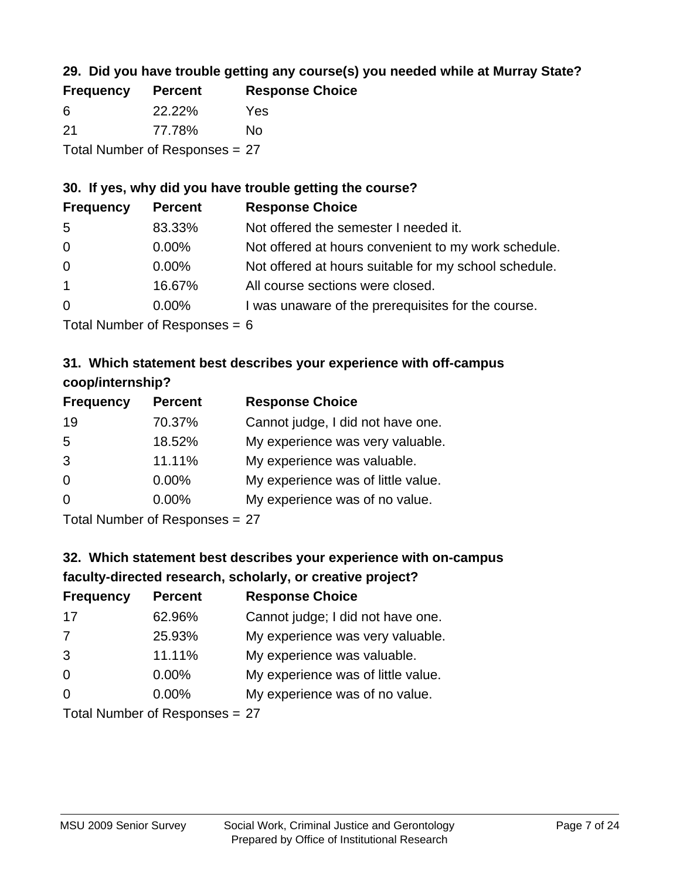## **29. Did you have trouble getting any course(s) you needed while at Murray State?**

| <b>Frequency</b> | <b>Percent</b>                 | <b>Response Choice</b> |
|------------------|--------------------------------|------------------------|
| -6               | 22.22%                         | Yes                    |
| -21              | 77.78%                         | N٥                     |
|                  | Total Number of Responses = 27 |                        |

#### **30. If yes, why did you have trouble getting the course?**

| <b>Frequency</b> | <b>Percent</b>                                                           | <b>Response Choice</b>                                |
|------------------|--------------------------------------------------------------------------|-------------------------------------------------------|
| -5               | 83.33%                                                                   | Not offered the semester I needed it.                 |
| $\overline{0}$   | $0.00\%$                                                                 | Not offered at hours convenient to my work schedule.  |
| $\overline{0}$   | $0.00\%$                                                                 | Not offered at hours suitable for my school schedule. |
| $\overline{1}$   | 16.67%                                                                   | All course sections were closed.                      |
| $\overline{0}$   | $0.00\%$                                                                 | I was unaware of the prerequisites for the course.    |
|                  | $T_{\rm eff}$ . The state of $R_{\rm eff}$ is the state of $R_{\rm eff}$ |                                                       |

Total Number of Responses = 6

## **31. Which statement best describes your experience with off-campus coop/internship?**

| <b>Frequency</b> | <b>Percent</b> | <b>Response Choice</b>             |
|------------------|----------------|------------------------------------|
| 19               | 70.37%         | Cannot judge, I did not have one.  |
| 5                | 18.52%         | My experience was very valuable.   |
| 3                | 11.11%         | My experience was valuable.        |
| $\Omega$         | $0.00\%$       | My experience was of little value. |
| $\Omega$         | $0.00\%$       | My experience was of no value.     |
|                  |                |                                    |

Total Number of Responses = 27

## **32. Which statement best describes your experience with on-campus faculty-directed research, scholarly, or creative project?**

| <b>Frequency</b> | <b>Percent</b>             | <b>Response Choice</b>             |
|------------------|----------------------------|------------------------------------|
| 17               | 62.96%                     | Cannot judge; I did not have one.  |
| 7                | 25.93%                     | My experience was very valuable.   |
| 3                | 11.11%                     | My experience was valuable.        |
| $\Omega$         | 0.00%                      | My experience was of little value. |
| $\Omega$         | 0.00%                      | My experience was of no value.     |
|                  | Total Number of Desperance |                                    |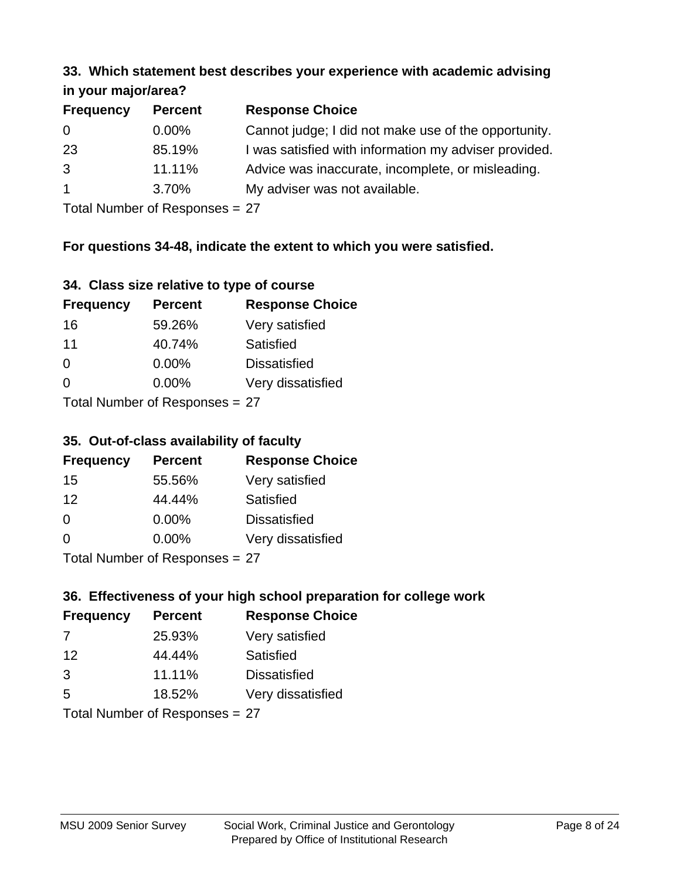#### **33. Which statement best describes your experience with academic advising in your major/area?**

| $\mathbf{u}$ yvu $\mathbf{u}$ yvu $\mathbf{v}$ |                |                                                       |
|------------------------------------------------|----------------|-------------------------------------------------------|
| <b>Frequency</b>                               | <b>Percent</b> | <b>Response Choice</b>                                |
| 0                                              | $0.00\%$       | Cannot judge; I did not make use of the opportunity.  |
| 23                                             | 85.19%         | I was satisfied with information my adviser provided. |
| 3                                              | 11.11%         | Advice was inaccurate, incomplete, or misleading.     |
| $\mathbf{1}$                                   | 3.70%          | My adviser was not available.                         |
|                                                |                |                                                       |

Total Number of Responses = 27

## **For questions 34-48, indicate the extent to which you were satisfied.**

| 34. Class size relative to type of course |  |  |  |  |  |  |  |  |
|-------------------------------------------|--|--|--|--|--|--|--|--|
|-------------------------------------------|--|--|--|--|--|--|--|--|

| <b>Frequency</b>               | <b>Percent</b> | <b>Response Choice</b> |  |  |
|--------------------------------|----------------|------------------------|--|--|
| 16                             | 59.26%         | Very satisfied         |  |  |
| 11                             | 40.74%         | Satisfied              |  |  |
| $\Omega$                       | $0.00\%$       | <b>Dissatisfied</b>    |  |  |
| ∩                              | $0.00\%$       | Very dissatisfied      |  |  |
| Total Number of Responses = 27 |                |                        |  |  |

## **35. Out-of-class availability of faculty**

| <b>Frequency</b> | <b>Percent</b>             | <b>Response Choice</b> |
|------------------|----------------------------|------------------------|
| 15               | 55.56%                     | Very satisfied         |
| 12               | 44.44%                     | <b>Satisfied</b>       |
| $\Omega$         | $0.00\%$                   | <b>Dissatisfied</b>    |
| $\Omega$         | 0.00%                      | Very dissatisfied      |
|                  | Total Number of Deepersoon |                        |

Total Number of Responses = 27

## **36. Effectiveness of your high school preparation for college work**

| <b>Frequency</b> | <b>Percent</b>            | <b>Response Choice</b> |
|------------------|---------------------------|------------------------|
| 7                | 25.93%                    | Very satisfied         |
| 12               | 44.44%                    | Satisfied              |
| 3                | 11.11%                    | <b>Dissatisfied</b>    |
| 5                | 18.52%                    | Very dissatisfied      |
|                  | Total Number of Deepensee |                        |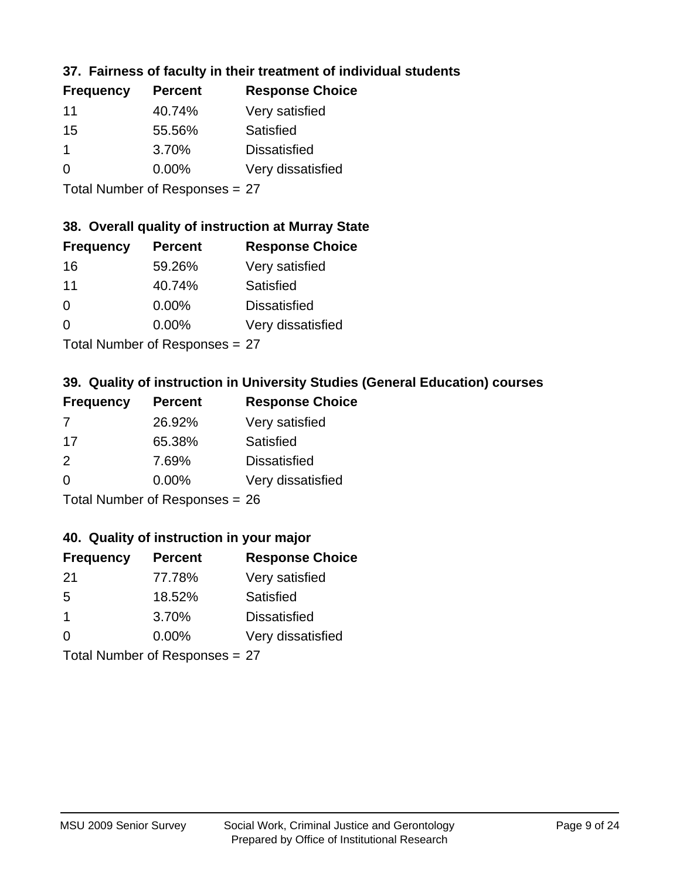## **37. Fairness of faculty in their treatment of individual students**

| <b>Frequency</b> | <b>Percent</b> | <b>Response Choice</b> |
|------------------|----------------|------------------------|
| 11               | 40.74%         | Very satisfied         |
| 15               | 55.56%         | Satisfied              |
| $\mathbf 1$      | 3.70%          | <b>Dissatisfied</b>    |
| $\Omega$         | $0.00\%$       | Very dissatisfied      |
|                  |                |                        |

Total Number of Responses = 27

#### **38. Overall quality of instruction at Murray State**

| <b>Frequency</b> | <b>Percent</b> | <b>Response Choice</b> |
|------------------|----------------|------------------------|
| 16               | 59.26%         | Very satisfied         |
| 11               | 40.74%         | Satisfied              |
| $\Omega$         | 0.00%          | <b>Dissatisfied</b>    |
| $\Omega$         | 0.00%          | Very dissatisfied      |
|                  |                |                        |

Total Number of Responses = 27

## **39. Quality of instruction in University Studies (General Education) courses**

| <b>Frequency</b> | <b>Percent</b>            | <b>Response Choice</b> |
|------------------|---------------------------|------------------------|
| -7               | 26.92%                    | Very satisfied         |
| -17              | 65.38%                    | Satisfied              |
| $\mathcal{P}$    | 7.69%                     | <b>Dissatisfied</b>    |
| $\Omega$         | 0.00%                     | Very dissatisfied      |
|                  | Total Number of Desponses |                        |

Total Number of Responses = 26

#### **40. Quality of instruction in your major**

| <b>Frequency</b> | <b>Percent</b> | <b>Response Choice</b> |
|------------------|----------------|------------------------|
| -21              | 77.78%         | Very satisfied         |
| .5               | 18.52%         | Satisfied              |
| -1               | 3.70%          | <b>Dissatisfied</b>    |
| $\Omega$         | 0.00%          | Very dissatisfied      |
|                  |                |                        |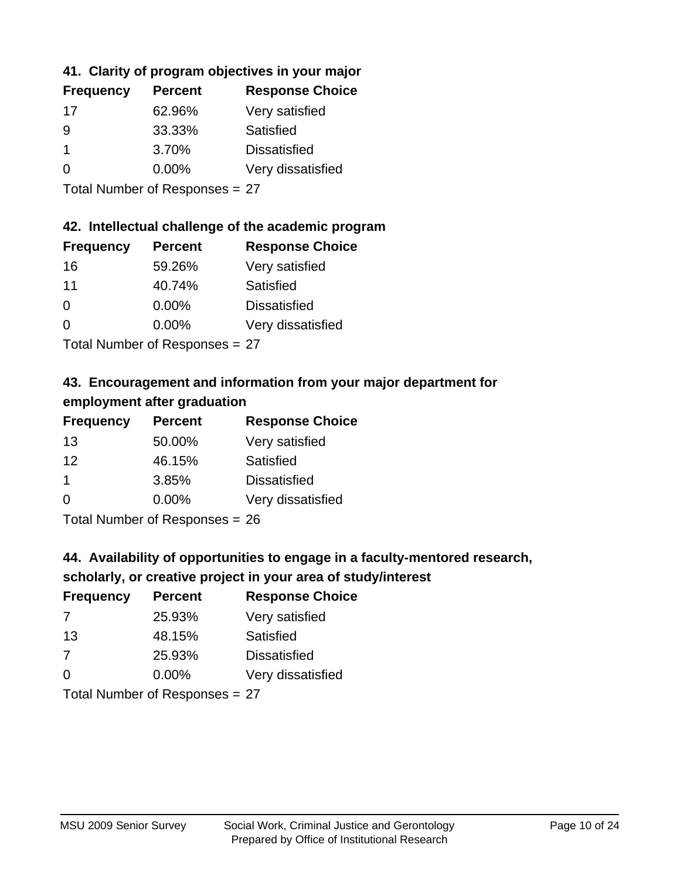## **41. Clarity of program objectives in your major**

| <b>Frequency</b> | <b>Percent</b> | <b>Response Choice</b> |
|------------------|----------------|------------------------|
| 17               | 62.96%         | Very satisfied         |
| 9                | 33.33%         | Satisfied              |
|                  | 3.70%          | <b>Dissatisfied</b>    |
| ∩                | $0.00\%$       | Very dissatisfied      |
|                  |                |                        |

Total Number of Responses = 27

#### **42. Intellectual challenge of the academic program**

| <b>Frequency</b> | <b>Percent</b> | <b>Response Choice</b> |
|------------------|----------------|------------------------|
| 16               | 59.26%         | Very satisfied         |
| 11               | 40.74%         | Satisfied              |
| $\Omega$         | 0.00%          | <b>Dissatisfied</b>    |
| $\Omega$         | 0.00%          | Very dissatisfied      |
|                  |                |                        |

Total Number of Responses = 27

## **43. Encouragement and information from your major department for employment after graduation**

| <b>Frequency</b> | <b>Percent</b> | <b>Response Choice</b> |
|------------------|----------------|------------------------|
| 13               | 50.00%         | Very satisfied         |
| 12               | 46.15%         | Satisfied              |
| $\mathbf 1$      | 3.85%          | <b>Dissatisfied</b>    |
| $\Omega$         | 0.00%          | Very dissatisfied      |
|                  |                |                        |

Total Number of Responses = 26

## **44. Availability of opportunities to engage in a faculty-mentored research,**

## **scholarly, or creative project in your area of study/interest**

| <b>Frequency</b> | <b>Percent</b> | <b>Response Choice</b> |
|------------------|----------------|------------------------|
| 7                | 25.93%         | Very satisfied         |
| 13               | 48.15%         | Satisfied              |
| -7               | 25.93%         | <b>Dissatisfied</b>    |
| $\Omega$         | $0.00\%$       | Very dissatisfied      |
|                  |                |                        |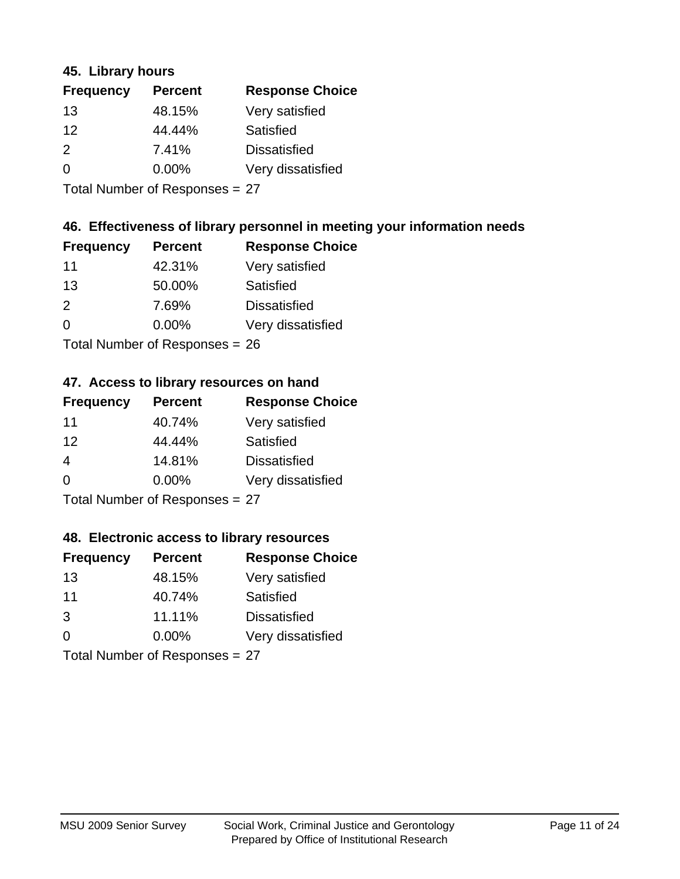#### **45. Library hours**

| <b>Frequency</b> | <b>Percent</b> | <b>Response Choice</b> |
|------------------|----------------|------------------------|
| 13               | 48.15%         | Very satisfied         |
| 12               | 44.44%         | Satisfied              |
| $\mathcal{P}$    | 7.41%          | <b>Dissatisfied</b>    |
| 0                | 0.00%          | Very dissatisfied      |
|                  |                |                        |

Total Number of Responses = 27

## **46. Effectiveness of library personnel in meeting your information needs**

| <b>Frequency</b> | <b>Percent</b> | <b>Response Choice</b> |
|------------------|----------------|------------------------|
| 11               | 42.31%         | Very satisfied         |
| 13               | 50.00%         | Satisfied              |
| $\mathcal{P}$    | 7.69%          | <b>Dissatisfied</b>    |
| $\Omega$         | 0.00%          | Very dissatisfied      |
|                  |                |                        |

Total Number of Responses = 26

#### **47. Access to library resources on hand**

| <b>Frequency</b> | <b>Percent</b>            | <b>Response Choice</b> |
|------------------|---------------------------|------------------------|
| 11               | 40.74%                    | Very satisfied         |
| 12               | 44.44%                    | Satisfied              |
| 4                | 14.81%                    | <b>Dissatisfied</b>    |
| $\Omega$         | 0.00%                     | Very dissatisfied      |
|                  | Total Number of Deepensee |                        |

Total Number of Responses = 27

#### **48. Electronic access to library resources**

| <b>Frequency</b> | <b>Percent</b>             | <b>Response Choice</b> |
|------------------|----------------------------|------------------------|
| 13               | 48.15%                     | Very satisfied         |
| 11               | 40.74%                     | Satisfied              |
| 3                | 11.11%                     | <b>Dissatisfied</b>    |
| $\Omega$         | 0.00%                      | Very dissatisfied      |
|                  | Total Number of Desperance |                        |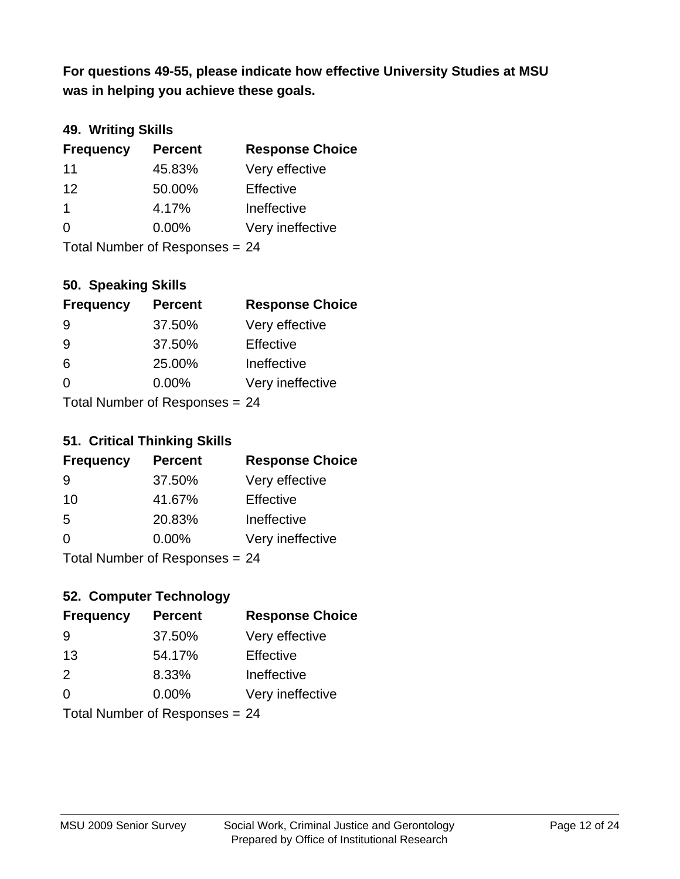**was in helping you achieve these goals. For questions 49-55, please indicate how effective University Studies at MSU** 

## **49. Writing Skills**

| <b>Frequency</b> | <b>Percent</b>                 | <b>Response Choice</b> |
|------------------|--------------------------------|------------------------|
| 11               | 45.83%                         | Very effective         |
| 12               | 50.00%                         | Effective              |
| $\mathbf 1$      | 4.17%                          | Ineffective            |
| $\Omega$         | $0.00\%$                       | Very ineffective       |
|                  | Total Number of Responses = 24 |                        |

#### **50. Speaking Skills**

| <b>Frequency</b> | <b>Percent</b>                 | <b>Response Choice</b> |
|------------------|--------------------------------|------------------------|
| -9               | 37.50%                         | Very effective         |
| 9                | 37.50%                         | Effective              |
| 6                | 25.00%                         | Ineffective            |
| 0                | 0.00%                          | Very ineffective       |
|                  | $Total Number of Denance = 24$ |                        |

Total Number of Responses = 24

#### **51. Critical Thinking Skills**

| <b>Frequency</b> | <b>Percent</b>                   | <b>Response Choice</b> |
|------------------|----------------------------------|------------------------|
| -9               | 37.50%                           | Very effective         |
| 10               | 41.67%                           | Effective              |
| -5               | 20.83%                           | Ineffective            |
| $\Omega$         | 0.00%                            | Very ineffective       |
|                  | $Total Number of Doononoog - 24$ |                        |

Total Number of Responses = 24

## **52. Computer Technology**

| <b>Frequency</b> | <b>Percent</b>                 | <b>Response Choice</b> |
|------------------|--------------------------------|------------------------|
| 9                | 37.50%                         | Very effective         |
| 13               | 54.17%                         | Effective              |
| 2                | 8.33%                          | Ineffective            |
| $\Omega$         | 0.00%                          | Very ineffective       |
|                  | Total Number of Responses = 24 |                        |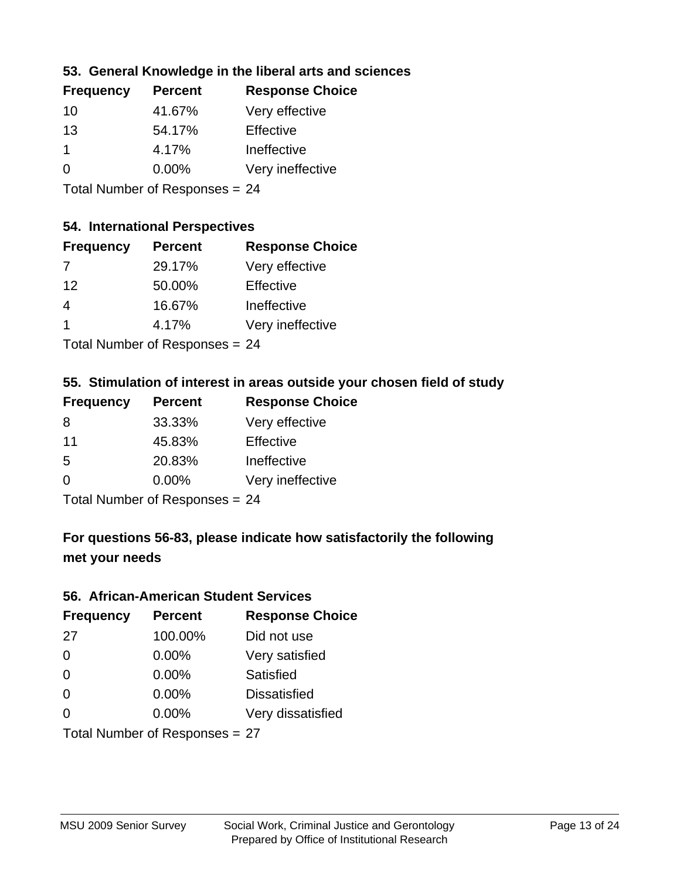## **53. General Knowledge in the liberal arts and sciences**

| <b>Frequency</b> | <b>Percent</b> | <b>Response Choice</b> |
|------------------|----------------|------------------------|
| 10               | 41.67%         | Very effective         |
| 13               | 54.17%         | Effective              |
| 1                | 4.17%          | Ineffective            |
| $\Omega$         | 0.00%          | Very ineffective       |
|                  |                |                        |

Total Number of Responses = 24

#### **54. International Perspectives**

| <b>Frequency</b> | <b>Percent</b>               | <b>Response Choice</b> |
|------------------|------------------------------|------------------------|
| 7                | 29.17%                       | Very effective         |
| 12               | 50.00%                       | Effective              |
| 4                | 16.67%                       | Ineffective            |
| -1               | 4.17%                        | Very ineffective       |
|                  | The HI all and December 2014 |                        |

Total Number of Responses = 24

#### **55. Stimulation of interest in areas outside your chosen field of study**

| <b>Frequency</b> | <b>Percent</b>            | <b>Response Choice</b> |
|------------------|---------------------------|------------------------|
| 8                | 33.33%                    | Very effective         |
| 11               | 45.83%                    | Effective              |
| .5               | 20.83%                    | Ineffective            |
| $\Omega$         | 0.00%                     | Very ineffective       |
|                  | Total Number of Desponses |                        |

Total Number of Responses = 24

## **For questions 56-83, please indicate how satisfactorily the following met your needs**

#### **56. African-American Student Services**

| <b>Frequency</b> | <b>Percent</b>                 | <b>Response Choice</b> |
|------------------|--------------------------------|------------------------|
| 27               | 100.00%                        | Did not use            |
| $\Omega$         | 0.00%                          | Very satisfied         |
| $\Omega$         | 0.00%                          | Satisfied              |
| $\Omega$         | $0.00\%$                       | <b>Dissatisfied</b>    |
| $\Omega$         | 0.00%                          | Very dissatisfied      |
|                  | Total Number of Responses = 27 |                        |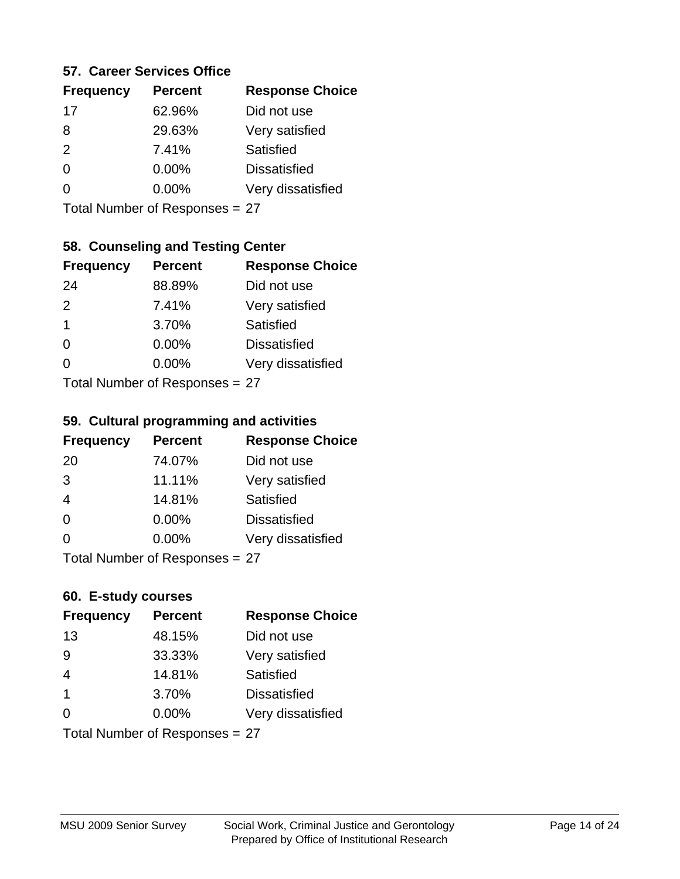#### **57. Career Services Office**

| <b>Frequency</b> | <b>Percent</b> | <b>Response Choice</b> |
|------------------|----------------|------------------------|
| 17               | 62.96%         | Did not use            |
| 8                | 29.63%         | Very satisfied         |
| $\mathcal{P}$    | 7.41%          | <b>Satisfied</b>       |
| 0                | 0.00%          | <b>Dissatisfied</b>    |
|                  | $0.00\%$       | Very dissatisfied      |
|                  |                |                        |

Total Number of Responses = 27

## **58. Counseling and Testing Center**

| <b>Frequency</b> | <b>Percent</b>            | <b>Response Choice</b> |
|------------------|---------------------------|------------------------|
| 24               | 88.89%                    | Did not use            |
| 2                | 7.41%                     | Very satisfied         |
| $\mathbf 1$      | 3.70%                     | Satisfied              |
| $\Omega$         | 0.00%                     | <b>Dissatisfied</b>    |
| ∩                | 0.00%                     | Very dissatisfied      |
|                  | Total Number of Desponses |                        |

Total Number of Responses = 27

#### **59. Cultural programming and activities**

| <b>Frequency</b> | <b>Percent</b>            | <b>Response Choice</b> |
|------------------|---------------------------|------------------------|
| 20               | 74.07%                    | Did not use            |
| 3                | 11.11%                    | Very satisfied         |
| $\overline{4}$   | 14.81%                    | Satisfied              |
| $\Omega$         | $0.00\%$                  | <b>Dissatisfied</b>    |
| $\Omega$         | 0.00%                     | Very dissatisfied      |
|                  | Total Number of Desponses |                        |

Total Number of Responses = 27

## **60. E-study courses**

| <b>Frequency</b> | <b>Percent</b>                 | <b>Response Choice</b> |
|------------------|--------------------------------|------------------------|
| 13               | 48.15%                         | Did not use            |
| 9                | 33.33%                         | Very satisfied         |
| $\overline{4}$   | 14.81%                         | Satisfied              |
| $\mathbf 1$      | 3.70%                          | <b>Dissatisfied</b>    |
| $\Omega$         | $0.00\%$                       | Very dissatisfied      |
|                  | Total Number of Responses = 27 |                        |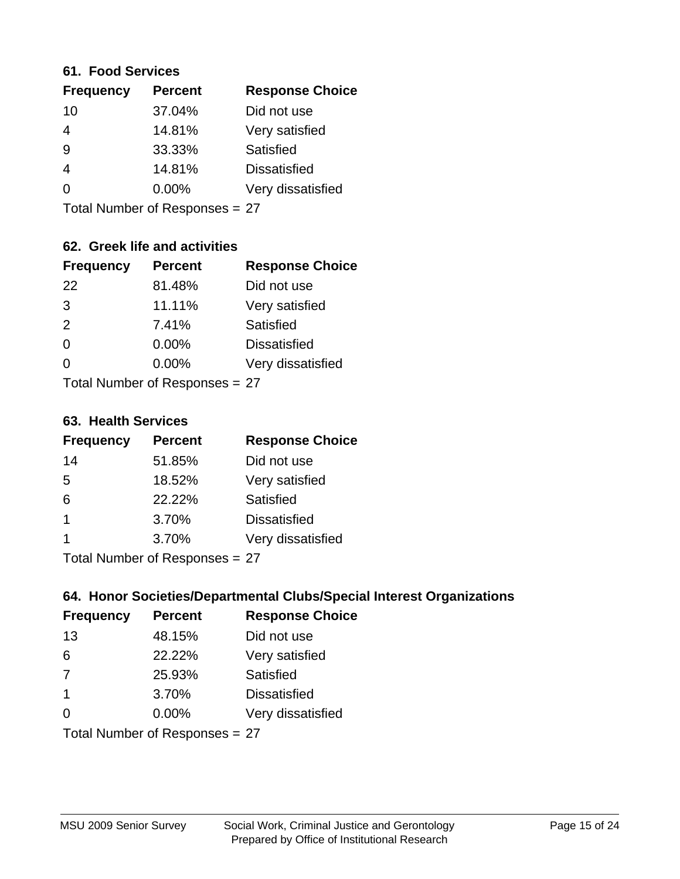#### **61. Food Services**

| <b>Frequency</b> | <b>Percent</b> | <b>Response Choice</b> |
|------------------|----------------|------------------------|
| 10               | 37.04%         | Did not use            |
| 4                | 14.81%         | Very satisfied         |
| 9                | 33.33%         | Satisfied              |
| 4                | 14.81%         | <b>Dissatisfied</b>    |
| $\Omega$         | $0.00\%$       | Very dissatisfied      |
|                  |                |                        |

Total Number of Responses = 27

## **62. Greek life and activities**

| <b>Frequency</b> | <b>Percent</b>                 | <b>Response Choice</b> |
|------------------|--------------------------------|------------------------|
| 22               | 81.48%                         | Did not use            |
| 3                | 11.11%                         | Very satisfied         |
| 2                | 7.41%                          | Satisfied              |
| $\Omega$         | 0.00%                          | <b>Dissatisfied</b>    |
| O                | $0.00\%$                       | Very dissatisfied      |
|                  | Total Number of Responses = 27 |                        |

#### **63. Health Services**

| <b>Frequency</b> | <b>Percent</b> | <b>Response Choice</b> |
|------------------|----------------|------------------------|
| 14               | 51.85%         | Did not use            |
| .5               | 18.52%         | Very satisfied         |
| 6                | 22.22%         | Satisfied              |
| 1                | 3.70%          | <b>Dissatisfied</b>    |
|                  | 3.70%          | Very dissatisfied      |
|                  |                |                        |

Total Number of Responses = 27

## **64. Honor Societies/Departmental Clubs/Special Interest Organizations**

| <b>Frequency</b> | <b>Percent</b>                 | <b>Response Choice</b> |
|------------------|--------------------------------|------------------------|
| 13               | 48.15%                         | Did not use            |
| 6                | 22.22%                         | Very satisfied         |
| 7                | 25.93%                         | Satisfied              |
| -1               | 3.70%                          | <b>Dissatisfied</b>    |
| $\Omega$         | 0.00%                          | Very dissatisfied      |
|                  | Total Number of Responses = 27 |                        |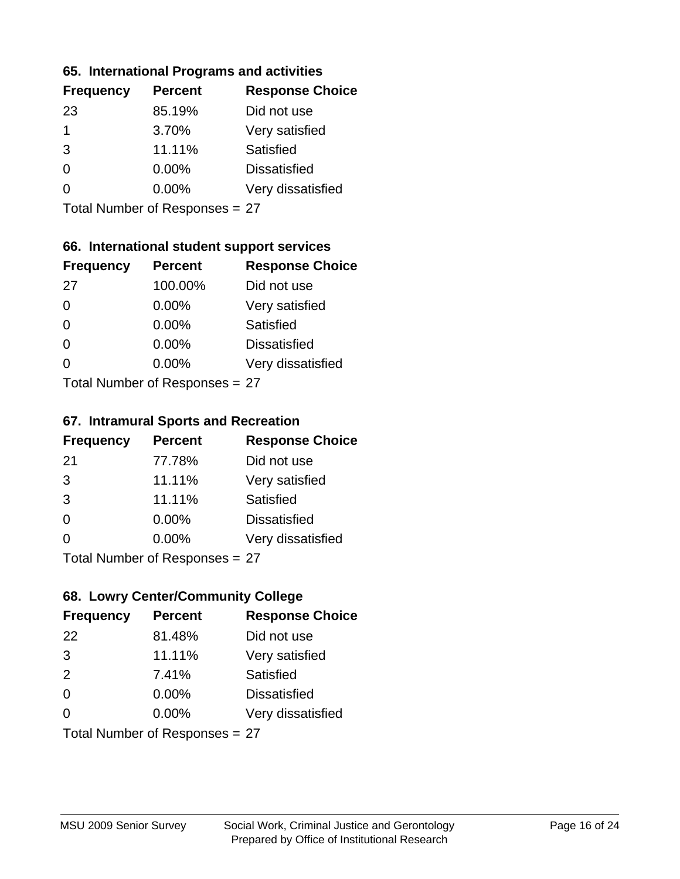#### **65. International Programs and activities**

| <b>Frequency</b> | <b>Percent</b> | <b>Response Choice</b> |
|------------------|----------------|------------------------|
| 23               | 85.19%         | Did not use            |
| 1                | 3.70%          | Very satisfied         |
| 3                | 11.11%         | Satisfied              |
| 0                | 0.00%          | <b>Dissatisfied</b>    |
|                  | 0.00%          | Very dissatisfied      |
|                  |                |                        |

Total Number of Responses = 27

## **66. International student support services**

| <b>Frequency</b>          | <b>Percent</b> | <b>Response Choice</b> |
|---------------------------|----------------|------------------------|
| 27                        | 100.00%        | Did not use            |
| $\Omega$                  | 0.00%          | Very satisfied         |
| $\Omega$                  | 0.00%          | <b>Satisfied</b>       |
| $\Omega$                  | 0.00%          | <b>Dissatisfied</b>    |
| ∩                         | 0.00%          | Very dissatisfied      |
| Total Number of Desponses |                |                        |

Total Number of Responses = 27

#### **67. Intramural Sports and Recreation**

| <b>Frequency</b> | <b>Percent</b>            | <b>Response Choice</b> |
|------------------|---------------------------|------------------------|
| -21              | 77.78%                    | Did not use            |
| 3                | 11.11%                    | Very satisfied         |
| 3                | 11.11%                    | Satisfied              |
| $\Omega$         | $0.00\%$                  | <b>Dissatisfied</b>    |
| $\Omega$         | 0.00%                     | Very dissatisfied      |
|                  | Total Number of Desponses |                        |

Total Number of Responses = 27

## **68. Lowry Center/Community College**

| <b>Frequency</b> | <b>Percent</b>                 | <b>Response Choice</b> |
|------------------|--------------------------------|------------------------|
| 22               | 81.48%                         | Did not use            |
| 3                | 11.11%                         | Very satisfied         |
| 2                | 7.41%                          | Satisfied              |
| $\Omega$         | $0.00\%$                       | <b>Dissatisfied</b>    |
| $\Omega$         | 0.00%                          | Very dissatisfied      |
|                  | Total Number of Responses = 27 |                        |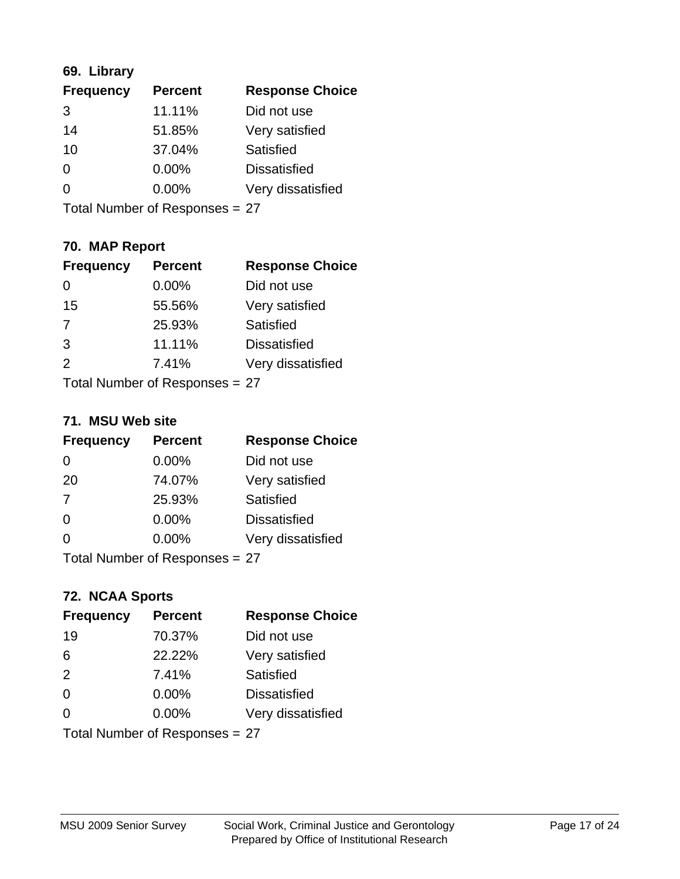## **69. Library**

| <b>Frequency</b> | <b>Percent</b> | <b>Response Choice</b> |
|------------------|----------------|------------------------|
| 3                | 11.11%         | Did not use            |
| 14               | 51.85%         | Very satisfied         |
| 10               | 37.04%         | Satisfied              |
| $\Omega$         | $0.00\%$       | <b>Dissatisfied</b>    |
| $\Omega$         | $0.00\%$       | Very dissatisfied      |
|                  |                |                        |

Total Number of Responses = 27

## **70. MAP Report**

| <b>Frequency</b> | <b>Percent</b>                 | <b>Response Choice</b> |
|------------------|--------------------------------|------------------------|
|                  | 0.00%                          | Did not use            |
| 15               | 55.56%                         | Very satisfied         |
| 7                | 25.93%                         | Satisfied              |
| 3                | 11.11%                         | <b>Dissatisfied</b>    |
| 2                | 7.41%                          | Very dissatisfied      |
|                  | Total Number of Responses = 27 |                        |

#### **71. MSU Web site**

| <b>Frequency</b> | <b>Percent</b>                 | <b>Response Choice</b> |
|------------------|--------------------------------|------------------------|
| $\Omega$         | 0.00%                          | Did not use            |
| 20               | 74.07%                         | Very satisfied         |
| 7                | 25.93%                         | Satisfied              |
| $\Omega$         | 0.00%                          | <b>Dissatisfied</b>    |
| $\Omega$         | 0.00%                          | Very dissatisfied      |
|                  | Total Number of Responses = 27 |                        |

## **72. NCAA Sports**

| <b>Frequency</b> | <b>Percent</b>                 | <b>Response Choice</b> |
|------------------|--------------------------------|------------------------|
| 19               | 70.37%                         | Did not use            |
| 6                | 22.22%                         | Very satisfied         |
| 2                | 7.41%                          | Satisfied              |
| 0                | 0.00%                          | <b>Dissatisfied</b>    |
| $\Omega$         | 0.00%                          | Very dissatisfied      |
|                  | Total Number of Responses = 27 |                        |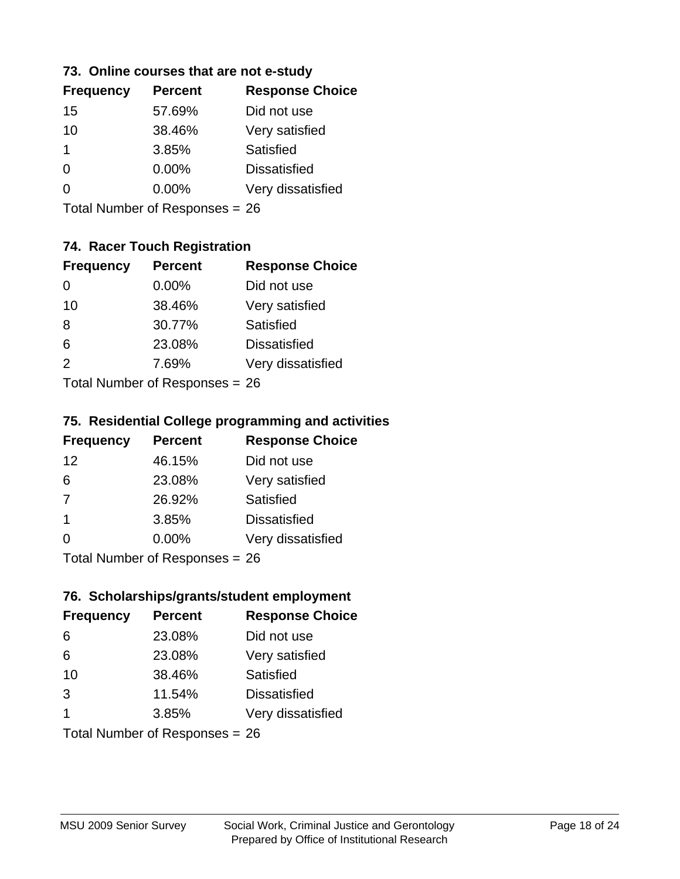#### **73. Online courses that are not e-study**

| <b>Frequency</b> | <b>Percent</b> | <b>Response Choice</b> |
|------------------|----------------|------------------------|
| 15               | 57.69%         | Did not use            |
| 10               | 38.46%         | Very satisfied         |
| 1                | 3.85%          | Satisfied              |
| 0                | $0.00\%$       | <b>Dissatisfied</b>    |
|                  | $0.00\%$       | Very dissatisfied      |
|                  |                |                        |

Total Number of Responses = 26

## **74. Racer Touch Registration**

| <b>Frequency</b>          | <b>Percent</b> | <b>Response Choice</b> |
|---------------------------|----------------|------------------------|
| 0                         | $0.00\%$       | Did not use            |
| 10                        | 38.46%         | Very satisfied         |
| 8                         | 30.77%         | <b>Satisfied</b>       |
| 6                         | 23.08%         | <b>Dissatisfied</b>    |
| $\mathcal{P}$             | 7.69%          | Very dissatisfied      |
| Total Number of Desponses |                |                        |

Total Number of Responses = 26

#### **75. Residential College programming and activities**

| <b>Frequency</b>                | <b>Percent</b> | <b>Response Choice</b> |
|---------------------------------|----------------|------------------------|
| 12                              | 46.15%         | Did not use            |
| 6                               | 23.08%         | Very satisfied         |
| 7                               | 26.92%         | Satisfied              |
| -1                              | 3.85%          | <b>Dissatisfied</b>    |
| $\Omega$                        | $0.00\%$       | Very dissatisfied      |
| $Total Number of Denances = 26$ |                |                        |

Total Number of Responses = 26

#### **76. Scholarships/grants/student employment**

| <b>Frequency</b> | <b>Percent</b>                 | <b>Response Choice</b> |
|------------------|--------------------------------|------------------------|
| 6                | 23.08%                         | Did not use            |
| 6                | 23.08%                         | Very satisfied         |
| 10               | 38.46%                         | Satisfied              |
| 3                | 11.54%                         | <b>Dissatisfied</b>    |
| 1                | 3.85%                          | Very dissatisfied      |
|                  | Total Number of Responses = 26 |                        |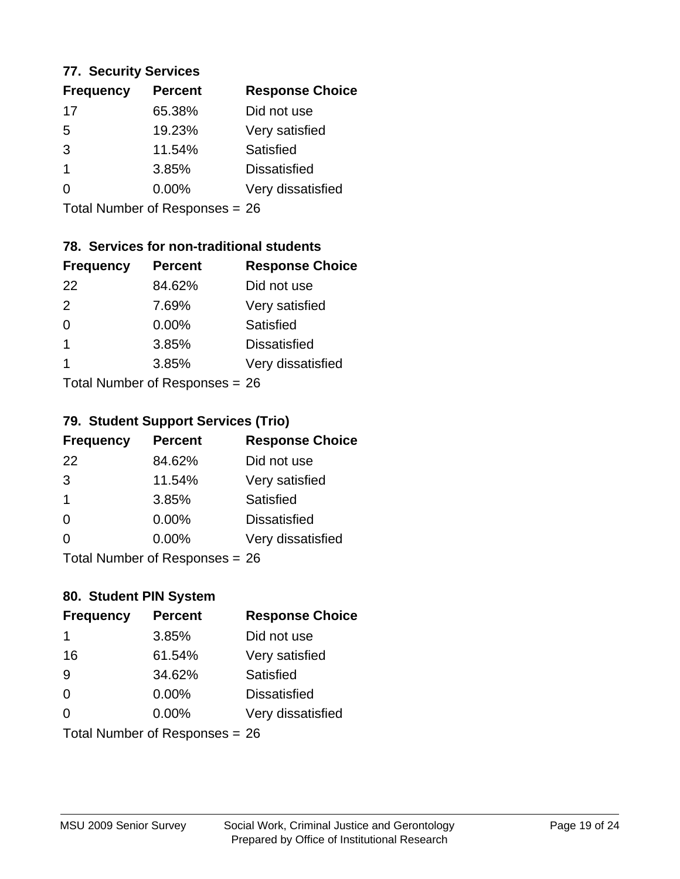#### **77. Security Services**

| <b>Frequency</b> | <b>Percent</b> | <b>Response Choice</b> |
|------------------|----------------|------------------------|
| 17               | 65.38%         | Did not use            |
| 5                | 19.23%         | Very satisfied         |
| 3                | 11.54%         | Satisfied              |
| 1                | 3.85%          | <b>Dissatisfied</b>    |
|                  | $0.00\%$       | Very dissatisfied      |
|                  |                |                        |

Total Number of Responses = 26

## **78. Services for non-traditional students**

| <b>Frequency</b> | <b>Percent</b>            | <b>Response Choice</b> |
|------------------|---------------------------|------------------------|
| 22               | 84.62%                    | Did not use            |
| $\mathcal{P}$    | 7.69%                     | Very satisfied         |
| $\Omega$         | 0.00%                     | <b>Satisfied</b>       |
| $\overline{1}$   | 3.85%                     | <b>Dissatisfied</b>    |
| 1                | 3.85%                     | Very dissatisfied      |
|                  | Total Number of Deepensee |                        |

Total Number of Responses = 26

## **79. Student Support Services (Trio)**

| <b>Frequency</b> | <b>Percent</b>                  | <b>Response Choice</b> |
|------------------|---------------------------------|------------------------|
| 22               | 84.62%                          | Did not use            |
| 3                | 11.54%                          | Very satisfied         |
| $\mathbf 1$      | 3.85%                           | Satisfied              |
| $\Omega$         | $0.00\%$                        | <b>Dissatisfied</b>    |
| $\Omega$         | $0.00\%$                        | Very dissatisfied      |
|                  | $Total Number of Denonose = 26$ |                        |

Total Number of Responses = 26

## **80. Student PIN System**

| <b>Frequency</b> | <b>Percent</b>                 | <b>Response Choice</b> |
|------------------|--------------------------------|------------------------|
| 1                | 3.85%                          | Did not use            |
| 16               | 61.54%                         | Very satisfied         |
| 9                | 34.62%                         | Satisfied              |
| $\Omega$         | $0.00\%$                       | <b>Dissatisfied</b>    |
| $\Omega$         | $0.00\%$                       | Very dissatisfied      |
|                  | Total Number of Responses = 26 |                        |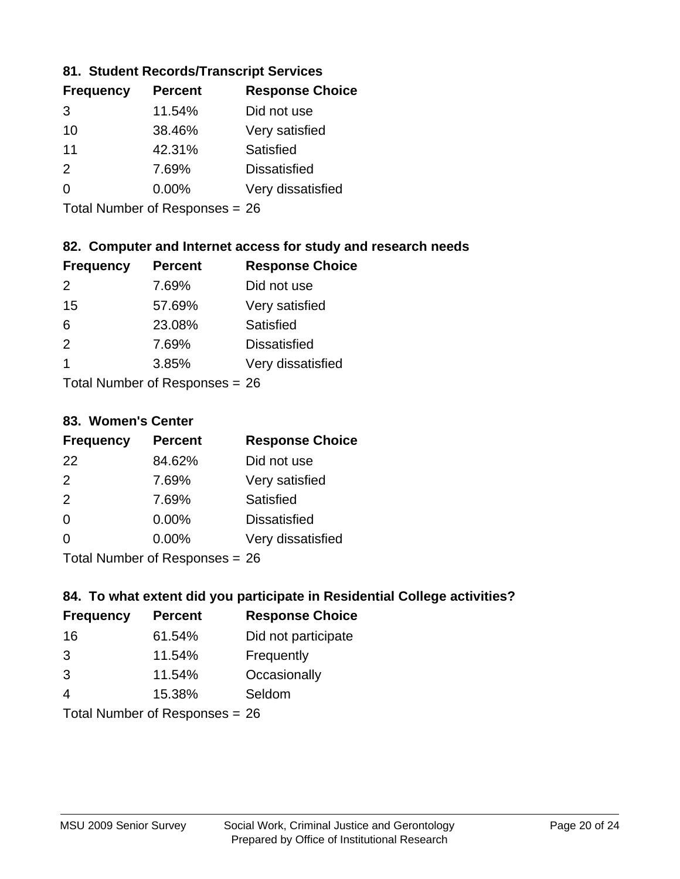## **81. Student Records/Transcript Services**

| <b>Frequency</b> | <b>Percent</b> | <b>Response Choice</b> |
|------------------|----------------|------------------------|
| 3                | 11.54%         | Did not use            |
| 10               | 38.46%         | Very satisfied         |
| 11               | 42.31%         | Satisfied              |
| $\mathcal{P}$    | 7.69%          | <b>Dissatisfied</b>    |
| $\Omega$         | $0.00\%$       | Very dissatisfied      |
|                  |                |                        |

Total Number of Responses = 26

## **82. Computer and Internet access for study and research needs**

| <b>Frequency</b>                  | <b>Percent</b> | <b>Response Choice</b> |
|-----------------------------------|----------------|------------------------|
| $\mathcal{P}$                     | 7.69%          | Did not use            |
| 15                                | 57.69%         | Very satisfied         |
| 6                                 | 23.08%         | Satisfied              |
| $\mathcal{P}$                     | 7.69%          | <b>Dissatisfied</b>    |
| 1                                 | 3.85%          | Very dissatisfied      |
| $T$ at all Message and $D$ are an |                |                        |

Total Number of Responses = 26

#### **83. Women's Center**

| <b>Frequency</b> | <b>Percent</b>            | <b>Response Choice</b> |
|------------------|---------------------------|------------------------|
| 22               | 84.62%                    | Did not use            |
| $\mathcal{P}$    | 7.69%                     | Very satisfied         |
| 2                | 7.69%                     | Satisfied              |
| $\Omega$         | $0.00\%$                  | <b>Dissatisfied</b>    |
| $\Omega$         | $0.00\%$                  | Very dissatisfied      |
|                  | Total Number of Deepensee |                        |

Total Number of Responses = 26

#### **84. To what extent did you participate in Residential College activities?**

| <b>Frequency</b> | <b>Percent</b> | <b>Response Choice</b> |
|------------------|----------------|------------------------|
| 16               | 61.54%         | Did not participate    |
| 3                | 11.54%         | Frequently             |
| 3                | 11.54%         | Occasionally           |
| 4                | 15.38%         | Seldom                 |
|                  |                |                        |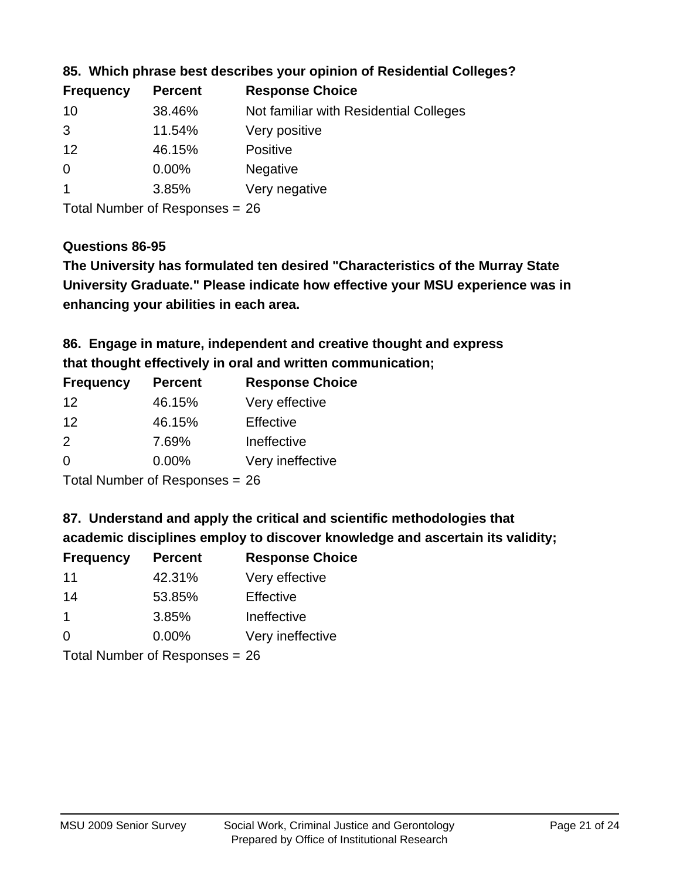| <b>Frequency</b> | <b>Percent</b> | <b>Response Choice</b>                 |
|------------------|----------------|----------------------------------------|
| 10               | 38.46%         | Not familiar with Residential Colleges |
| 3                | 11.54%         | Very positive                          |
| 12               | 46.15%         | <b>Positive</b>                        |
| $\overline{0}$   | $0.00\%$       | <b>Negative</b>                        |
|                  | 3.85%          | Very negative                          |
|                  |                |                                        |

## **85. Which phrase best describes your opinion of Residential Colleges?**

Total Number of Responses = 26

#### **Questions 86-95**

**University Graduate." Please indicate how effective your MSU experience was in The University has formulated ten desired "Characteristics of the Murray State enhancing your abilities in each area.**

**86. Engage in mature, independent and creative thought and express that thought effectively in oral and written communication;**

| <b>Frequency</b> | <b>Percent</b> | <b>Response Choice</b> |
|------------------|----------------|------------------------|
| 12               | 46.15%         | Very effective         |
| 12               | 46.15%         | Effective              |
| $\mathcal{P}$    | 7.69%          | Ineffective            |
| $\Omega$         | $0.00\%$       | Very ineffective       |

Total Number of Responses = 26

#### **87. Understand and apply the critical and scientific methodologies that**

**academic disciplines employ to discover knowledge and ascertain its validity;**

| <b>Frequency</b> | <b>Percent</b> | <b>Response Choice</b> |  |
|------------------|----------------|------------------------|--|
| 11               | 42.31%         | Very effective         |  |
| 14               | 53.85%         | Effective              |  |
| -1               | 3.85%          | Ineffective            |  |
| $\Omega$         | 0.00%          | Very ineffective       |  |
|                  |                |                        |  |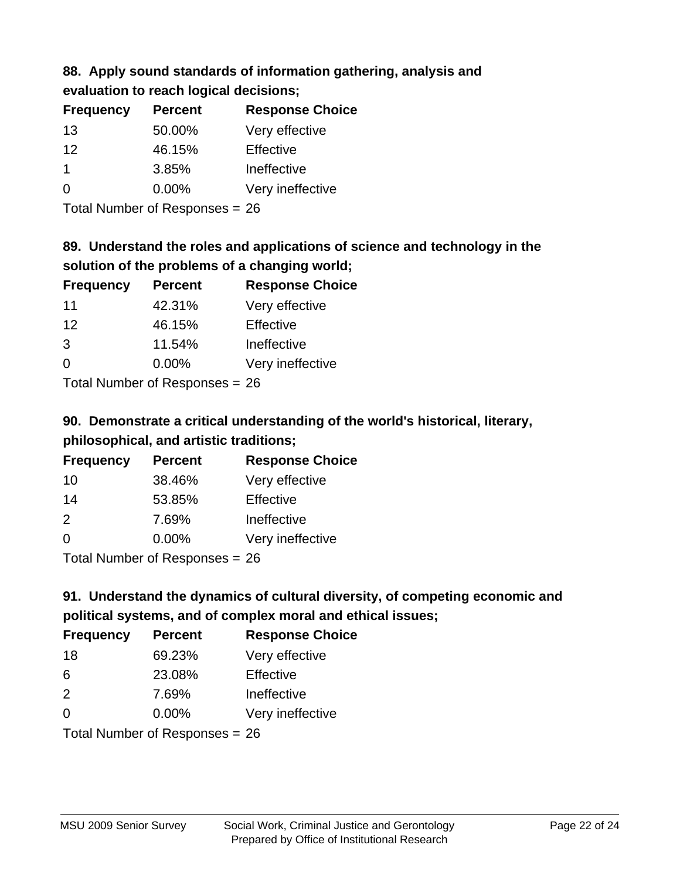## **88. Apply sound standards of information gathering, analysis and**

**evaluation to reach logical decisions;**

| <b>Percent</b> | <b>Response Choice</b> |
|----------------|------------------------|
| 50.00%         | Very effective         |
| 46.15%         | Effective              |
| 3.85%          | Ineffective            |
| $0.00\%$       | Very ineffective       |
|                |                        |

Total Number of Responses = 26

## **89. Understand the roles and applications of science and technology in the solution of the problems of a changing world;**

| <b>Frequency</b>                                        | <b>Percent</b> | <b>Response Choice</b> |
|---------------------------------------------------------|----------------|------------------------|
| 11                                                      | 42.31%         | Very effective         |
| 12                                                      | 46.15%         | Effective              |
| 3                                                       | 11.54%         | Ineffective            |
| $\Omega$                                                | 0.00%          | Very ineffective       |
| $T$ at all Message and $R$ $\sim$ and $\sim$ and $\sim$ |                |                        |

Total Number of Responses = 26

## **90. Demonstrate a critical understanding of the world's historical, literary, philosophical, and artistic traditions;**

| <b>Frequency</b> | <b>Percent</b> | <b>Response Choice</b> |
|------------------|----------------|------------------------|
| 10               | 38.46%         | Very effective         |
| 14               | 53.85%         | Effective              |
| $\mathcal{P}$    | 7.69%          | Ineffective            |
| $\Omega$         | 0.00%          | Very ineffective       |
|                  |                |                        |

Total Number of Responses = 26

## **91. Understand the dynamics of cultural diversity, of competing economic and political systems, and of complex moral and ethical issues;**

| <b>Frequency</b> | <b>Percent</b>                 | <b>Response Choice</b> |
|------------------|--------------------------------|------------------------|
| 18               | 69.23%                         | Very effective         |
| 6                | 23.08%                         | Effective              |
| 2                | 7.69%                          | Ineffective            |
| $\Omega$         | 0.00%                          | Very ineffective       |
|                  | Total Number of Responses = 26 |                        |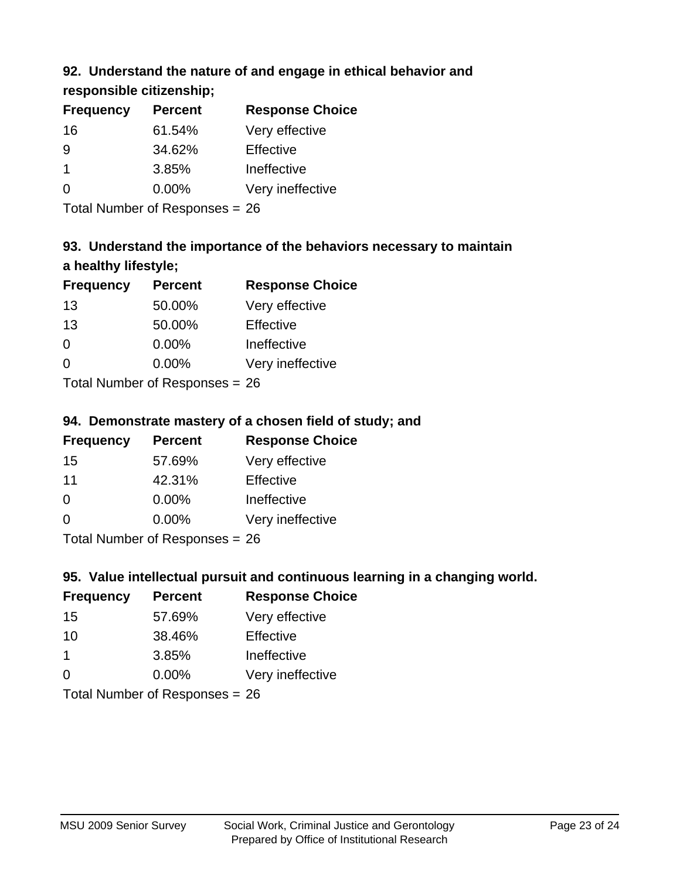## **92. Understand the nature of and engage in ethical behavior and**

**responsible citizenship;**

| <b>Frequency</b> | <b>Percent</b> | <b>Response Choice</b> |
|------------------|----------------|------------------------|
| 16               | 61.54%         | Very effective         |
| 9                | 34.62%         | Effective              |
|                  | 3.85%          | Ineffective            |
| $\Omega$         | $0.00\%$       | Very ineffective       |
|                  |                |                        |

Total Number of Responses = 26

## **93. Understand the importance of the behaviors necessary to maintain a healthy lifestyle;**

| <b>Frequency</b> | <b>Percent</b> | <b>Response Choice</b> |
|------------------|----------------|------------------------|
| 13               | 50.00%         | Very effective         |
| 13               | 50.00%         | Effective              |
| $\Omega$         | 0.00%          | Ineffective            |
| $\Omega$         | 0.00%          | Very ineffective       |
|                  |                |                        |

Total Number of Responses = 26

## **94. Demonstrate mastery of a chosen field of study; and**

| <b>Frequency</b> | <b>Percent</b> | <b>Response Choice</b> |
|------------------|----------------|------------------------|
| 15               | 57.69%         | Very effective         |
| 11               | 42.31%         | Effective              |
| $\Omega$         | $0.00\%$       | Ineffective            |
| 0                | $0.00\%$       | Very ineffective       |
|                  |                |                        |

Total Number of Responses = 26

## **95. Value intellectual pursuit and continuous learning in a changing world.**

| <b>Frequency</b> | <b>Percent</b> | <b>Response Choice</b> |
|------------------|----------------|------------------------|
| 15               | 57.69%         | Very effective         |
| 10               | 38.46%         | Effective              |
| 1                | 3.85%          | Ineffective            |
| $\Omega$         | 0.00%          | Very ineffective       |
|                  |                |                        |